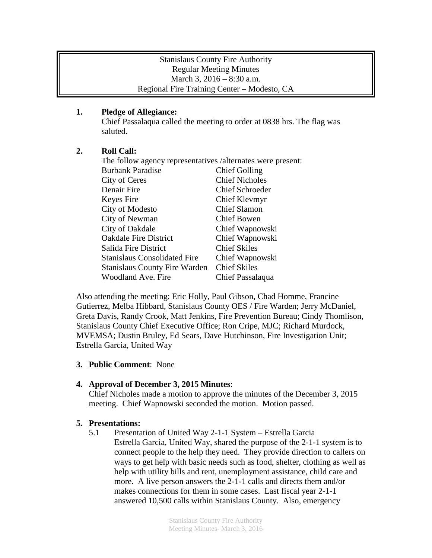#### Stanislaus County Fire Authority Regular Meeting Minutes March 3, 2016 – 8:30 a.m. Regional Fire Training Center – Modesto, CA

### **1. Pledge of Allegiance:**

Chief Passalaqua called the meeting to order at 0838 hrs. The flag was saluted.

# **2. Roll Call:**

| The follow agency representatives /alternates were present: |                        |
|-------------------------------------------------------------|------------------------|
| <b>Burbank Paradise</b>                                     | <b>Chief Golling</b>   |
| City of Ceres                                               | <b>Chief Nicholes</b>  |
| Denair Fire                                                 | <b>Chief Schroeder</b> |
| Keyes Fire                                                  | Chief Klevmyr          |
| City of Modesto                                             | <b>Chief Slamon</b>    |
| City of Newman                                              | Chief Bowen            |
| City of Oakdale                                             | Chief Wapnowski        |
| <b>Oakdale Fire District</b>                                | Chief Wapnowski        |
| Salida Fire District                                        | <b>Chief Skiles</b>    |
| <b>Stanislaus Consolidated Fire</b>                         | Chief Wapnowski        |
| <b>Stanislaus County Fire Warden</b>                        | <b>Chief Skiles</b>    |
| Woodland Ave. Fire                                          | Chief Passalaqua       |

Also attending the meeting: Eric Holly, Paul Gibson, Chad Homme, Francine Gutierrez, Melba Hibbard, Stanislaus County OES / Fire Warden; Jerry McDaniel, Greta Davis, Randy Crook, Matt Jenkins, Fire Prevention Bureau; Cindy Thomlison, Stanislaus County Chief Executive Office; Ron Cripe, MJC; Richard Murdock, MVEMSA; Dustin Bruley, Ed Sears, Dave Hutchinson, Fire Investigation Unit; Estrella Garcia, United Way

### **3. Public Comment**: None

### **4. Approval of December 3, 2015 Minutes**:

Chief Nicholes made a motion to approve the minutes of the December 3, 2015 meeting. Chief Wapnowski seconded the motion. Motion passed.

### **5. Presentations:**

5.1 Presentation of United Way 2-1-1 System – Estrella Garcia Estrella Garcia, United Way, shared the purpose of the 2-1-1 system is to connect people to the help they need. They provide direction to callers on ways to get help with basic needs such as food, shelter, clothing as well as help with utility bills and rent, unemployment assistance, child care and more. A live person answers the 2-1-1 calls and directs them and/or makes connections for them in some cases. Last fiscal year 2-1-1 answered 10,500 calls within Stanislaus County. Also, emergency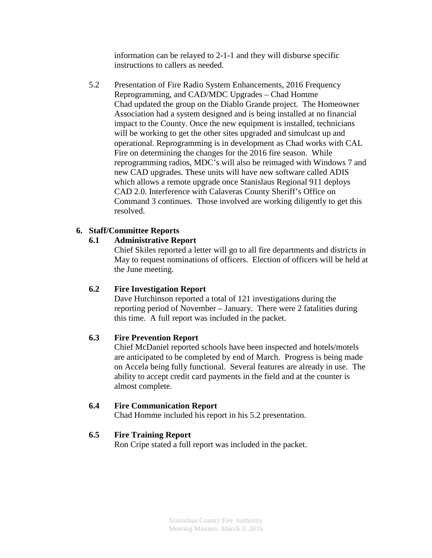information can be relayed to 2-1-1 and they will disburse specific instructions to callers as needed.

5.2 Presentation of Fire Radio System Enhancements, 2016 Frequency Reprogramming, and CAD/MDC Upgrades – Chad Homme Chad updated the group on the Diablo Grande project. The Homeowner Association had a system designed and is being installed at no financial impact to the County. Once the new equipment is installed, technicians will be working to get the other sites upgraded and simulcast up and operational. Reprogramming is in development as Chad works with CAL Fire on determining the changes for the 2016 fire season. While reprogramming radios, MDC's will also be reimaged with Windows 7 and new CAD upgrades. These units will have new software called ADIS which allows a remote upgrade once Stanislaus Regional 911 deploys CAD 2.0. Interference with Calaveras County Sheriff's Office on Command 3 continues. Those involved are working diligently to get this resolved.

# **6. Staff/Committee Reports**

# **6.1 Administrative Report**

Chief Skiles reported a letter will go to all fire departments and districts in May to request nominations of officers. Election of officers will be held at the June meeting.

### **6.2 Fire Investigation Report**

Dave Hutchinson reported a total of 121 investigations during the reporting period of November – January. There were 2 fatalities during this time. A full report was included in the packet.

### **6.3 Fire Prevention Report**

Chief McDaniel reported schools have been inspected and hotels/motels are anticipated to be completed by end of March. Progress is being made on Accela being fully functional. Several features are already in use. The ability to accept credit card payments in the field and at the counter is almost complete.

### **6.4 Fire Communication Report**

Chad Homme included his report in his 5.2 presentation.

### **6.5 Fire Training Report**

Ron Cripe stated a full report was included in the packet.